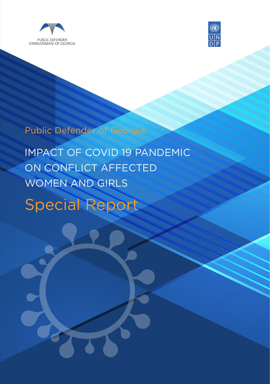



Public Defender of Georgia

IMPACT OF COVID 19 PANDEMIC ON CONFLICT AFFECTED WOMEN AND GIRLS

Special Report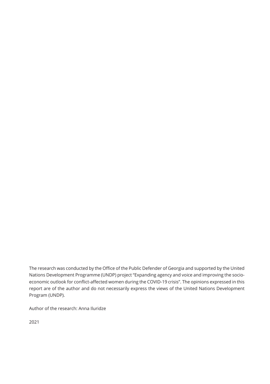The research was conducted by the Office of the Public Defender of Georgia and supported by the United Nations Development Programme (UNDP) project "Expanding agency and voice and improving the socioeconomic outlook for conflict-affected women during the COVID-19 crisis". The opinions expressed in this report are of the author and do not necessarily express the views of the United Nations Development Program (UNDP).

Author of the research: Anna Iluridze

2021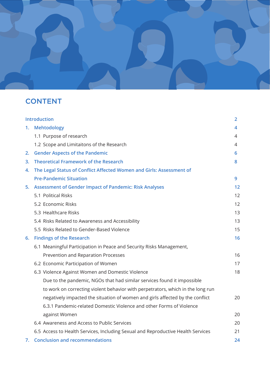

# **CONTENT**

| <b>Introduction</b> |                                                                                  | $\overline{2}$ |
|---------------------|----------------------------------------------------------------------------------|----------------|
|                     | 1. Mehtodology                                                                   | 4              |
|                     | 1.1 Purpose of research                                                          | 4              |
|                     | 1.2 Scope and Limitaitons of the Research                                        | 4              |
| 2.                  | <b>Gender Aspects of the Pandemic</b>                                            | 6              |
| 3.                  | <b>Theoretical Framework of the Research</b>                                     | 8              |
| 4.                  | The Legal Status of Conflict Affected Women and Girls: Assessment of             |                |
|                     | <b>Pre-Pandemic Situation</b>                                                    | 9              |
| 5.                  | <b>Assessment of Gender Impact of Pandemic: Risk Analyses</b>                    | 12             |
|                     | 5.1 Political Risks                                                              | 12             |
|                     | 5.2 Economic Risks                                                               | 12             |
|                     | 5.3 Healthcare Risks                                                             | 13             |
|                     | 5.4 Risks Related to Awareness and Accessibility                                 | 13             |
|                     | 5.5 Risks Related to Gender-Based Violence                                       | 15             |
|                     | 6. Findings of the Research                                                      | 16             |
|                     | 6.1 Meaningful Participation in Peace and Security Risks Management,             |                |
|                     | Prevention and Reparation Processes                                              | 16             |
|                     | 6.2 Economic Participation of Women                                              | 17             |
|                     | 6.3 Violence Against Women and Domestic Violence                                 | 18             |
|                     | Due to the pandemic, NGOs that had similar services found it impossible          |                |
|                     | to work on correcting violent behavior with perpetrators, which in the long run  |                |
|                     | negatively impacted the situation of women and girls affected by the conflict    | 20             |
|                     | 6.3.1 Pandemic-related Domestic Violence and other Forms of Violence             |                |
|                     | against Women                                                                    | 20             |
|                     | 6.4 Awareness and Access to Public Services                                      | 20             |
|                     | 6.5 Access to Health Services, Including Sexual and Reproductive Health Services | 21             |
| 7.                  | <b>Conclusion and recommendations</b>                                            | 24             |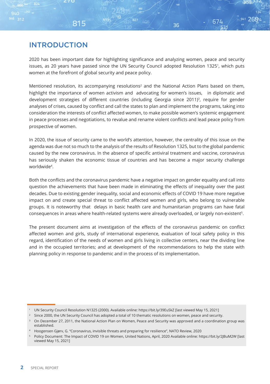## INTRODUCTION

815

 $Q/\Omega$ 

 $946$  312

2020 has been important date for highlighting significance and analyzing women, peace and security issues, as 20 years have passed since the UN Security Council adopted Resolution 1325<sup>1</sup>, which puts women at the forefront of global security and peace policy.

941 2694

674

36

Mentioned resolution, its accompanying resolutions<sup>2</sup> and the National Action Plans based on them, highlight the importance of women activism and advocating for women's issues, in diplomatic and development strategies of different countries (including Georgia since 2011)3, require for gender analyses of crises, caused by conflict and call the states to plan and implement the programs, taking into consideration the interests of conflict affected women, to make possible women's systemic engagement in peace processes and negotiations, to revalue and rename violent conflicts and lead peace policy from prospective of women.

In 2020, the issue of security came to the world's attention, however, the centrality of this issue on the agenda was due not so much to the analysis of the results of Resolution 1325, but to the global pandemic caused by the new coronavirus. In the absence of specific antiviral treatment and vaccine, coronavirus has seriously shaken the economic tissue of countries and has become a major security challenge worldwide4.

Both the conflicts and the coronavirus pandemic have a negative impact on gender equality and call into question the achievements that have been made in eliminating the effects of inequality over the past decades. Due to existing gender inequality, social and economic effects of COVID 19 have more negative impact on and create special threat to conflict affected women and girls, who belong to vulnerable groups. It is noteworthy that delays in basic health care and humanitarian programs can have fatal consequences in areas where health-related systems were already overloaded, or largely non-existent<sup>5</sup>.

The present document aims at investigation of the effects of the coronavirus pandemic on conflict affected women and girls, study of international experience, evaluation of local safety policy in this regard, identification of the needs of women and girls living in collective centers, near the dividing line and in the occupied territories; and at development of the recommendations to help the state with planning policy in response to pandemic and in the process of its implementation.

<sup>1</sup> UN Security Council Resolution N1325 (2000). Available online: https://bit.ly/39EuSkZ [last viewed May 15, 2021]

<sup>&</sup>lt;sup>2</sup> Since 2000, the UN Security Council has adopted a total of 10 thematic resolutions on women, peace and security.

<sup>3</sup> On December 27, 2011, the National Action Plan on Women, Peace and Security was approved and a coordination group was established.

<sup>4</sup> Hoogensen Gjørv, G. "Coronavirus, invisible threats and preparing for resilience", NATO Review, 2020

<sup>5</sup> Policy Document: The Impact of COVID 19 on Women, United Nations, April, 2020 Available online: https://bit.ly/2JBuM2W [last viewed May 15, 2021]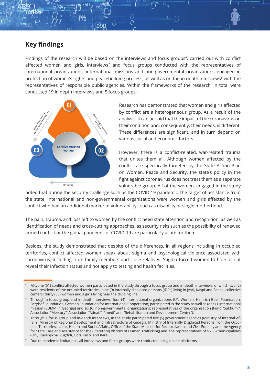#### **Key findings**

Findings of the research will be based on the interviews and focus groups<sup>6</sup>, carried out with conflict affected women and girls, interviews<sup>7</sup> and focus groups conducted with the representatives of international organizations, international missions and non-governmental organizations engaged in protection of women's rights and peacebuilding process, as well as on the in depth interviews<sup>8</sup> with the representatives of responsible public agencies. Within the frameworks of the research, in total were conducted 19 in depth interviews and 5 focus groups.9

 $\overline{C}$ 



Research has demonstrated that women and girls affected by conflict are a heterogeneous group. As a result of the analysis, it can be said that the impact of the coronavirus on their condition and, consequently, their needs, is different. These differences are significant, and in turn depend on various social and economic factors.

However, there is a conflict-related, war-related trauma that unites them all. Although women affected by the conflict are specifically targeted by the State Action Plan on Women, Peace and Security, the state's policy in the fight against coronavirus does not treat them as a separate vulnerable group. All of the women, engaged in the study

noted that during the security challenge such as the COVID 19 pandemic, the target of assistance from the state, international and non-governmental organizations were women and girls affected by the conflict who had an additional marker of vulnerability - such as disability or single motherhood.

The pain, trauma, and loss left to women by the conflict need state attention and recognition, as well as identification of needs and cross-cutting approaches, as security risks such as the possibility of renewed armed conflict or the global pandemic of COVID-19 are particularly acute for them.

Besides, the study demonstrated that despite of the differences, in all regions including in occupied territories, conflict affected women speak about stigma and psychological violence associated with coronavirus, including from family members and close relatives. Stigma forced women to hide or not reveal their infection status and not apply to testing and health facilities.

<sup>6</sup> Fiftyone (51) conflict affected women participated in the study through a focus group and in-depth interviews, of which two (2) were residents of the occupied territories, nine (9) internally displaced persons (IDPs) living in Jvari, Kaspi and Senaki collective centers; thirty (30) women and a girls living near the dividing line.

<sup>7</sup> Through a focus group and in-depth interviews, four (4) international organizations (UN Women, Heinrich Boell Foundation, Berghof Foundation, German Foundation for International Cooperation) participated in the study as well as (one) 1 international mission (EUMM in Georgia) and six (6) non-governmental organizations; representatives of the organization (Fund "Sukhumi", Association "Mercury", Association "Atinati", "Imedi" and "Rehabilitation and Development Center").

Through a focus group and in-depth interviews, in the study participated five (5) government agencies (Ministry of Internal Affairs, Ministry of Regional Development and Infrastructure of Georgia, Ministry of Internally Displaced Persons from the Occupied Territories, Labor, Health and Social Affairs, Office of the State Minister for Reconciliation and Civic Equality and the Agency for State Care and Assistance for the (Statutory) Victims of Human Trafficking) and the representatives of six (6) municipalities (Oni, Tsalenjikha, Zugdidi, Gori, Kaspi and Kareli).

Due to pandemic limitations, all interviews and focus groups were conducted using online platforms.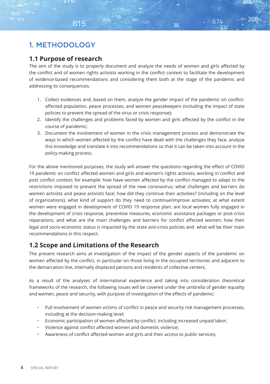## 1. METHODOLOGY

 $9/0$ 

#### **1.1 Purpose of research**

815

The aim of the study is to properly document and analyze the needs of women and girls affected by the conflict and of women rights activists working in the conflict context to facilitate the development of evidence-based recommendations and considering them both at the stage of the pandemic and addressing its consequences.

941 2694

674

36

- 1. Collect evidences and, based on them, analyze the gender impact of the pandemic on conflictaffected population, peace processes, and women peacekeepers (including the impact of state policies to prevent the spread of the virus or crisis response);
- 2. Identify the challenges and problems faced by women and girls affected by the conflict in the course of pandemic;
- 3. Document the involvement of women in the crisis management process and demonstrate the ways in which women affected by the conflict have dealt with the challenges they face, analyze this knowledge and translate it into recommendations so that it can be taken into account in the policy-making process.

For the above mentioned purposes, the study will answer the questions regarding the effect of COVID 19 pandemic on conflict affected women and girls and women's rights activists, working in conflict and post conflict context; for example: how have women affected by the conflict managed to adapt to the restrictions imposed to prevent the spread of the new coronavirus; what challenges and barriers do women activists and peace activists face; how did they continue their activities? (including on the level of organizations), what kind of support do they need to continue/improve activates; at what extent women were engaged in development of COVID 19 response plan; are local women fully engaged in the development of crisis response, preventive measures, economic assistance packages or post-crisis reparations, and what are the main challenges and barriers for conflict affected women; how their legal and socio-economic status is impacted by the state anti-crisis policies and what will be their main recommendations in this respect.

### **1.2 Scope and Limitations of the Research**

The present research aims at investigation of the impact of the gender aspects of the pandemic on women affected by the conflict, in particular on those living in the occupied territories and adjacent to the demarcation line, internally displaced persons and residents of collective centers.

As a result of the analyses of international experience and taking into consideration theoretical frameworks of the research, the following issues will be covered under the umbrella of gender equality and women, peace and security, with purpose of investigation of the effects of pandemic:

- Full involvement of women victims of conflict in peace and security risk management processes, including at the decision-making level;
- Economic participation of women affected by conflict, including increased unpaid labor;
- Violence against conflict affected women and domestic violence;
- Awareness of conflict affected women and girls and their access to public services;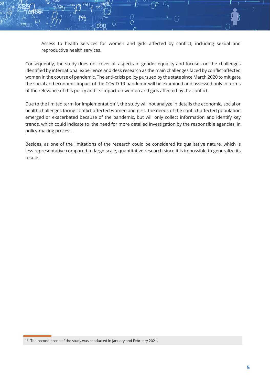Access to health services for women and girls affected by conflict, including sexual and reproductive health services.

Consequently, the study does not cover all aspects of gender equality and focuses on the challenges identified by international experience and desk research as the main challenges faced by conflict affected women in the course of pandemic. The anti-crisis policy pursued by the state since March 2020 to mitigate the social and economic impact of the COVID 19 pandemic will be examined and assessed only in terms of the relevance of this policy and its impact on women and girls affected by the conflict.

 $\cap$ 

Due to the limited term for implementation<sup>10</sup>, the study will not analyze in details the economic, social or health challenges facing conflict affected women and girls, the needs of the conflict-affected population emerged or exacerbated because of the pandemic, but will only collect information and identify key trends, which could indicate to the need for more detailed investigation by the responsible agencies, in policy-making process.

Besides, as one of the limitations of the research could be considered its qualitative nature, which is less representative compared to large-scale, quantitative research since it is impossible to generalize its results.

<sup>10</sup> The second phase of the study was conducted in January and February 2021.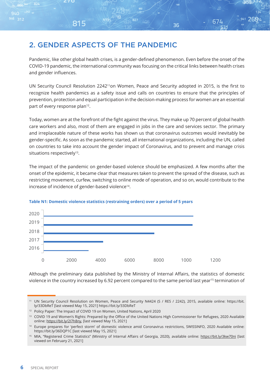815

Pandemic, like other global health crises, is a gender-defined phenomenon. Even before the onset of the COVID-19 pandemic, the international community was focusing on the critical links between health crises and gender influences.

941 2694

674

36

UN Security Council Resolution 2242<sup>11</sup>on Women, Peace and Security adopted in 2015, is the first to recognize health pandemics as a safety issue and calls on countries to ensure that the principles of prevention, protection and equal participation in the decision-making process for women are an essential part of every response plan<sup>12</sup>.

Today, women are at the forefront of the fight against the virus. They make up 70 percent of global health care workers and also, most of them are engaged in jobs in the care and services sector. The primary and irreplaceable nature of these works has shown us that coronavirus outcomes would inevitably be gender-specific. As soon as the pandemic started, all international organizations, including the UN, called on countries to take into account the gender impact of Coronavirus, and to prevent and manage crisis situations respectively<sup>13</sup>.

The impact of the pandemic on gender-based violence should be emphasized. A few months after the onset of the epidemic, it became clear that measures taken to prevent the spread of the disease, such as restricting movement, curfew, switching to online mode of operation, and so on, would contribute to the increase of incidence of gender-based violence<sup>14</sup>.



#### **Table N1: Domestic violence statistics (restraining orders) over a period of 5 years**

Although the preliminary data published by the Ministry of Internal Affairs, the statistics of domestic violence in the country increased by 6.92 percent compared to the same period last year<sup>15</sup> termination of

<sup>11</sup> UN Security Council Resolution on Women, Peace and Security N4424 (S / RES / 2242), 2015, available online: https://bit. ly/33DbReT [last viewed May 15, 2021] https://bit.ly/33DbReT

<sup>&</sup>lt;sup>12</sup> Policy Paper: The Impact of COVID 19 on Women, United Nations, April 2020

<sup>13</sup> COVID 19 and Women's Rights: Prepared by the Office of the United Nations High Commissioner for Refugees, 2020 Available online: https://bit.ly/2I7h8ny, [last viewed May 15, 2021]

<sup>14</sup> Europe prepares for 'perfect storm' of domestic violence amid Coronavirus restrictions, SWISSINFO, 2020 Available online: https://bit.ly/36DQP1C [last viewed May 15, 2021]

<sup>&</sup>lt;sup>15</sup> MIA, "Registered Crime Statistics" (Ministry of Internal Affairs of Georgia, 2020), available online: https://bit.ly/3kw70ni [last viewed on February 21, 2021]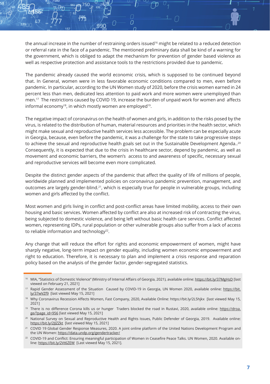the annual increase in the number of restraining orders issued<sup>16</sup> might be related to a reduced detection or referral rate in the face of a pandemic. The mentioned preliminary data shall be kind of a warning for the government, which is obliged to adapt the mechanism for prevention of gender based violence as well as respective protection and assistance tools to the restrictions provided due to pandemic.

O

The pandemic already caused the world economic crisis, which is supposed to be continued beyond that. In General, women were in less favorable economic conditions compared to men, even before pandemic. In particular, according to the UN Women study of 2020, before the crisis women earned in 24 percent less than men, dedicated less attention to paid work and more women were unemployed than men.17 The restrictions caused by COVID 19, increase the burden of unpaid work for women and affects informal economy<sup>18</sup>, in which mostly women are employed<sup>19</sup>.

The negative impact of coronavirus on the health of women and girls, in addition to the risks posed by the virus, is related to the distribution of human, material resources and priorities in the health sector, which might make sexual and reproductive health services less accessible. The problem can be especially acute in Georgia, because, even before the pandemic, it was a challenge for the state to take progressive steps to achieve the sexual and reproductive health goals set out in the Sustainable Development Agenda..<sup>20</sup> Consequently, it is expected that due to the crisis in healthcare sector, depend by pandemic, as well as movement and economic barriers, the women's access to and awareness of specific, necessary sexual and reproductive services will become even more complicated.

Despite the distinct gender aspects of the pandemic that affect the quality of life of millions of people, worldwide planned and implemented policies on coronavirus pandemic prevention, management, and outcomes are largely gender-blind.<sup>21</sup>, which is especially true for people in vulnerable groups, including women and girls affected by the conflict.

Most women and girls living in conflict and post-conflict areas have limited mobility, access to their own housing and basic services. Women affected by conflict are also at increased risk of contracting the virus, being subjected to domestic violence, and being left without basic health care services. Conflict affected women, representing IDPs, rural population or other vulnerable groups also suffer from a lack of access to reliable information and technology<sup>22</sup>.

Any change that will reduce the effort for rights and economic empowerment of women, might have sharply negative, long-term impact on gender equality, including women economic empowerment and right to education. Therefore, it is necessary to plan and implement a crisis response and reparation policy based on the analysis of the gender factor, gender-segregated statistics.

<sup>16</sup> MIA, "Statistics of Domestic Violence" (Ministry of Internal Affairs of Georgia, 2021), available online: https://bit.ly/37MgHsD [last viewed on February 21, 2021]

<sup>&</sup>lt;sup>17</sup> Rapid Gender Assessment of the Situation Caused by COVID-19 in Georgia, UN Women 2020, available online: https://bit. ly/37wVZf9 [last viewed May 15, 2021]

<sup>&</sup>lt;sup>18</sup> Why Coronavirus Recession Affects Women, Fast Company, 2020, Available Online: https://bit.ly/2L5hjkx [last viewed May 15, 2021]

<sup>&</sup>lt;sup>19</sup> There is no difference Corona kills us or hunger Traders blocked the road in Rustavi, 2020, available online: https://droa. ge/?page\_id=956 [last viewed May 15, 2021]

<sup>20</sup> National Survey on Sexual and Reproductive Health and Rights Issues, Public Defender of Georgia, 2019. Available online: https://bit.ly/2JJZZkt [last viewed May 15, 2021]

<sup>&</sup>lt;sup>21</sup> COVID 19 Global Gender Response Measures, 2020. A joint online platform of the United Nations Development Program and the UN Women: https://data.undp.org/gendertracker/

<sup>&</sup>lt;sup>22</sup> COVID-19 and Conflict: Ensuring meaningful participation of Women in Ceasefire Peace Talks. UN Women, 2020. Available online: https://bit.ly/2Vt6ZEW [Last viewed May 15, 2021].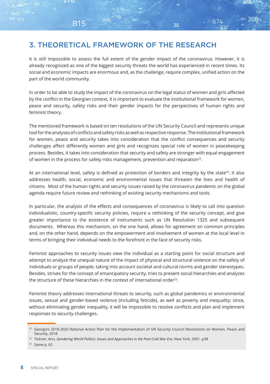## 3. THEORETICAL FRAMEWORK OF THE RESEARCH

815

It is still impossible to assess the full extent of the gender impact of the coronavirus. However, it is already recognized as one of the biggest security threats the world has experienced in recent times. Its social and economic impacts are enormous and, as the challenge, require complex, unified action on the part of the world community.

827

941 2694

674

36

In order to be able to study the impact of the coronavirus on the legal status of women and girls affected by the conflict in the Georgian context, it is important to evaluate the institutional framework for women, peace and security, safety risks and their gender impacts for the perspectives of human rights and feminist theory.

The mentioned framework is based on ten resolutions of the UN Security Council and represents unique tool for the analyses of conflicts and safety risks as well as respective response. The institutional framework for women, peace and security takes into consideration that the conflict consequences and security challenges affect differently women and girls and recognizes special role of women in peacekeeping process. Besides, it takes into consideration that security and safety are stronger with equal engagement of women in the process for safety risks management, prevention and reparation<sup>23</sup>.

At an international level, safety is defined as protection of borders and integrity by the state<sup>24</sup>. It also addresses health, social, economic and environmental issues that threaten the lives and health of citizens. Most of the human rights and security issues raised by the coronavirus pandemic on the global agenda require future review and rethinking of existing security mechanisms and tools.

In particular, the analysis of the effects and consequences of coronavirus is likely to call into question individualistic, country-specific security policies, require a rethinking of the security concept, and give greater importance to the existence of instruments such as UN Resolution 1325 and subsequent documents. Whereas this mechanism, on the one hand, allows for agreement on common principles and, on the other hand, depends on the empowerment and involvement of women at the local level in terms of bringing their individual needs to the forefront in the face of security risks.

Feminist approaches to security issues view the individual as a starting point for social structure and attempt to analyze the unequal nature of the impact of physical and structural violence on the safety of individuals or groups of people, taking into account societal and cultural norms and gender stereotypes. Besides, strives for the concept of emancipatory security, tries to present social hierarchies and analyzes the structure of these hierarchies in the context of international order<sup>25</sup>.

Feminist theory addresses international threats to security, such as global pandemics or environmental issues, sexual and gender-based violence (including feticide), as well as poverty and inequality; since, without eliminating gender inequality, it will be impossible to resolve conflicts and plan and implement responses to security challenges.

<sup>25</sup> Same p. 62

<sup>&</sup>lt;sup>23</sup> Georgia's 2018-2020 National Action Plan for the Implementation of UN Security Council Resolutions on Women, Peace and Security, 2018

<sup>24</sup> Tickner, Ann, *Gendering World Politics: Issues and Approaches in the Post-Cold War Era*, New York, 2001. p38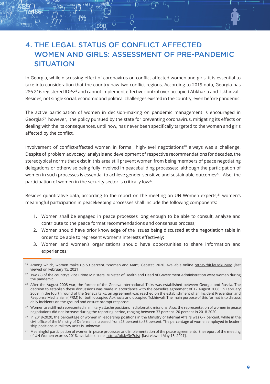# 4. THE LEGAL STATUS OF CONFLICT AFFECTED WOMEN AND GIRLS: ASSESSMENT OF PRE-PANDEMIC **SITUATION**

O

In Georgia, while discussing effect of coronavirus on conflict affected women and girls, it is essential to take into consideration that the country haw two conflict regions. According to 2019 data, Georgia has 286 216 registered IDPs<sup>26</sup> and cannot implement effective control over occupied Abkhazia and Tskhinvali. Besides, not single social, economic and political challenges existed in the country, even before pandemic.

The active participation of women in decision-making on pandemic management is encouraged in Georgia;27 however, the policy pursued by the state for preventing coronavirus, mitigating its effects or dealing with the its consequences, until now, has never been specifically targeted to the women and girls affected by the conflict.

Involvement of conflict-affected women in formal, high-level negotiations<sup>28</sup> always was a challenge. Despite of problem advocacy, analysis and development of respective recommendations for decades, the stereotypical norms that exist in this area still prevent women from being members of peace negotiating delegations or otherwise being fully involved in peacebuilding processes; although the participation of women in such processes is essential to achieve gender-sensitive and sustainable outcomes<sup>29</sup>. Also, the participation of women in the security sector is critically low<sup>30</sup>.

Besides quantitative data, according to the report on the meeting on UN Women experts, $31$  women's meaningful participation in peacekeeping processes shall include the following components:

- 1. Women shall be engaged in peace processes long enough to be able to consult, analyze and contribute to the peace format recommendations and consensus process;
- 2. Women should have prior knowledge of the issues being discussed at the negotiation table in order to be able to represent women's interests effectively;
- 3. Women and women's organizations should have opportunities to share information and experiences;

- <sup>29</sup> Women are still not represented in military attaché positions in diplomatic missions. Also, the representation of women in peace negotiations did not increase during the reporting period, ranging between 33 percent -20 percent in 2018-2020.
- <sup>30</sup> In 2018-2020, the percentage of women in leadership positions in the Ministry of Internal Affairs was 6-7 percent, while in the civil office of the Ministry of Defense it increased from 23 percent to 33 percent. The percentage of women employed in leadership positions in military units is unknown.
- <sup>31</sup> Meaningful participation of women in peace processes and implementation of the peace agreements, the report of the meeting of UN Women express 2018, available online https://bit.ly/3g7ojst [last viewed May 15, 2021].

Among which, women make up 53 percent. "Woman and Man", Geostat, 2020. Available online https://bit.ly/3qkBMBo [last viewed on February 15, 2021]

<sup>&</sup>lt;sup>27</sup> Two (2) of the country's Vice Prime Ministers, Minister of Health and Head of Government Administration were women during the pandemic.

<sup>28</sup> After the August 2008 war, the format of the Geneva International Talks was established between Georgia and Russia. The decision to establish these discussions was made in accordance with the ceasefire agreement of 12 August 2008. In February 2009, in the fourth round of the Geneva talks, an agreement was reached on the establishment of an Incident Prevention and Response Mechanism (IPRM) for both occupied Abkhazia and occupied Tskhinvali. The main purpose of this format is to discuss daily incidents on the ground and ensure prompt response.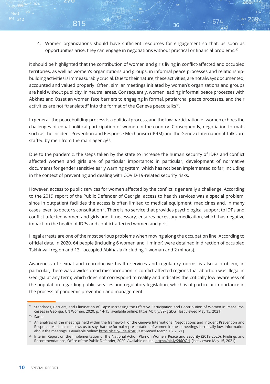4. Women organizations should have sufficient resources for engagement so that, as soon as opportunities arise, they can engage in negotiations without practical or financial problems. $32$ .

36

941 2694

674

it should be highlighted that the contribution of women and girls living in conflict-affected and occupied territories, as well as women's organizations and groups, in informal peace processes and relationshipbuilding activities is immeasurably crucial. Due to their nature, these activities, are not always documented, accounted and valued properly. Often, similar meetings initiated by women's organizations and groups are held without publicity, in neutral areas. Consequently, women leading informal peace processes with Abkhaz and Ossetian women face barriers to engaging in formal, patriarchal peace processes, and their activities are not "translated" into the format of the Geneva peace talks<sup>33</sup>.

In general, the peacebuilding process is a political process, and the low participation of women echoes the challenges of equal political participation of women in the country. Consequently, negotiation formats such as the Incident Prevention and Response Mechanism (IPRM) and the Geneva International Talks are staffed by men from the main agency $34$ .

Due to the pandemic, the steps taken by the state to increase the human security of IDPs and conflict affected women and girls are of particular importance; in particular, development of normative documents for gender sensitive early warning system, which has not been implemented so far, including in the context of preventing and dealing with COVID-19-related security risks.

However, access to public services for women affected by the conflict is generally a challenge. According to the 2019 report of the Public Defender of Georgia, access to health services was a special problem, since in outpatient facilities the access is often limited to medical equipment, medicines and, in many cases, even to doctor's consultation<sup>35</sup>. There is no service that provides psychological support to IDPs and conflict-affected women and girls and, if necessary, ensures necessary medication, which has negative impact on the health of IDPs and conflict-affected women and girls.

Illegal arrests are one of the most serious problems when moving along the occupation line. According to official data, in 2020, 64 people (including 6 women and 1 minor) were detained in direction of occupied Tskhinvali region and 13 - occupied Abkhazia (including 1 woman and 2 minors).

Awareness of sexual and reproductive health services and regulatory norms is also a problem, in particular, there was a widespread misconception in conflict-affected regions that abortion was illegal in Georgia at any term; which does not correspond to reality and indicates the critically low awareness of the population regarding public services and regulatory legislation, which is of particular importance in the process of pandemic prevention and management.

 $Q/\Omega$ 

 $946$  312

815

<sup>32</sup> Standards, Barriers, and Elimination of Gaps: Increasing the Effective Participation and Contribution of Women in Peace Processes in Georgia, UN Women, 2020. p. 14-15 available online: https://bit.ly/39FgGbG [last viewed May 15, 2021].

<sup>33</sup> Same

<sup>34</sup> An analysis of the meetings held within the framework of the Geneva International Negotiations and Incident Prevention and Response Mechanism allows us to say that the formal representation of women in these meetings is critically low. Information about the meetings is available online: https://bit.ly/3de9kMz [last viewed March 15, 2021].

<sup>&</sup>lt;sup>35</sup> Interim Report on the Implementation of the National Action Plan on Women, Peace and Security (2018-2020): Findings and Recommendations, Office of the Public Defender, 2020. Available online: https://bit.ly/2I6OQtl [last viewed May 15, 2021].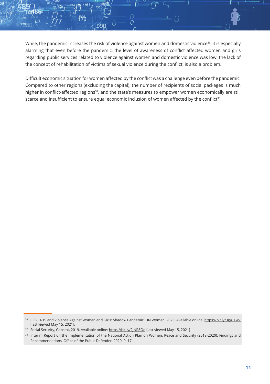While, the pandemic increases the risk of violence against women and domestic violence<sup>36</sup>, it is especially alarming that even before the pandemic, the level of awareness of conflict affected women and girls regarding public services related to violence against women and domestic violence was low; the lack of the concept of rehabilitation of victims of sexual violence during the conflict, is also a problem.

 $\Omega$ 

Difficult economic situation for women affected by the conflict was a challenge even before the pandemic. Compared to other regions (excluding the capital), the number of recipients of social packages is much higher in conflict-affected regions<sup>37</sup>, and the state's measures to empower women economically are still scarce and insufficient to ensure equal economic inclusion of women affected by the conflict<sup>38</sup>.

<sup>&</sup>lt;sup>36</sup> COVID-19 and Violence Against Women and Girls: Shadow Pandemic. UN Women, 2020. Available online: https://bit.ly/3g4TEw7 [last viewed May 15, 2021].

<sup>&</sup>lt;sup>37</sup> Social Security, Geostat, 2019. Available online: https://bit.ly/2JNR8Oo [last viewed May 15, 2021]

Interim Report on the Implementation of the National Action Plan on Women, Peace and Security (2018-2020): Findings and Recommendations, Office of the Public Defender, 2020. P. 17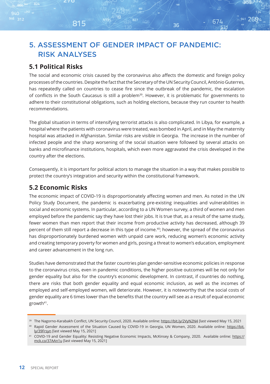# 5. ASSESSMENT OF GENDER IMPACT OF PANDEMIC: RISK ANALYSES

## **5.1 Political Risks**

815

The social and economic crisis caused by the coronavirus also affects the domestic and foreign policy processes of the countries. Despite the fact that the Secretary of the UN Security Council, António Guterres, has repeatedly called on countries to cease fire since the outbreak of the pandemic, the escalation of conflicts in the South Caucasus is still a problem<sup>39</sup>. However, it is problematic for governments to adhere to their constitutional obligations, such as holding elections, because they run counter to health recommendations.

941 2694

674

36

The global situation in terms of intensifying terrorist attacks is also complicated. In Libya, for example, a hospital where the patients with coronavirus were treated, was bombed in April, and in May the maternity hospital was attacked in Afghanistan. Similar risks are visible in Georgia. The increase in the number of infected people and the sharp worsening of the social situation were followed by several attacks on banks and microfinance institutions, hospitals, which even more aggravated the crisis developed in the country after the elections.

Consequently, it is important for political actors to manage the situation in a way that makes possible to protect the country's integration and security within the constitutional framework.

### **5.2 Economic Risks**

The economic impact of COVID-19 is disproportionately affecting women and men. As noted in the UN Policy Study Document, the pandemic is exacerbating pre-existing inequalities and vulnerabilities in social and economic systems. In particular, according to a UN Women survey, a third of women and men employed before the pandemic say they have lost their jobs. It is true that, as a result of the same study, fewer women than men report that their income from productive activity has decreased, although 39 percent of them still report a decrease in this type of income.40; however, the spread of the coronavirus has disproportionately burdened women with unpaid care work, reducing women's economic activity and creating temporary poverty for women and girls, posing a threat to women's education, employment and career advancement in the long run.

Studies have demonstrated that the faster countries plan gender-sensitive economic policies in response to the coronavirus crisis, even in pandemic conditions, the higher positive outcomes will be not only for gender equality but also for the country's economic development. In contrast, if countries do nothing, there are risks that both gender equality and equal economic inclusion, as well as the incomes of employed and self-employed women, will deteriorate. However, it is noteworthy that the social costs of gender equality are 6 times lower than the benefits that the country will see as a result of equal economic growth<sup>41</sup>.

<sup>&</sup>lt;sup>39</sup> The Nagorno-Karabakh Conflict, UN Security Council, 2020. Available online: https://bit.ly/2VyN2N4 [last viewed May 15, 2021

<sup>40</sup> Rapid Gender Assessment of the Situation Caused by COVID-19 in Georgia, UN Women, 2020. Available online: https://bit. ly/39Frsyn [last viewed May 15, 2021]

<sup>&</sup>lt;sup>41</sup> COVID-19 and Gender Equality: Resisting Negative Economic Impacts, McKinsey & Company, 2020. Available online: https:// mck.co/37AAn1u [last viewed May 15, 2021]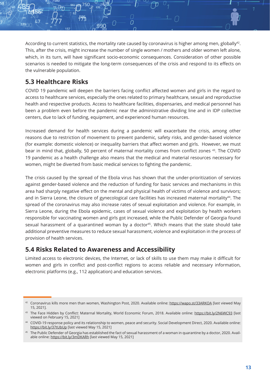According to current statistics, the mortality rate caused by coronavirus is higher among men, globally $42$ . This, after the crisis, might increase the number of single women / mothers and older women left alone, which, in its turn, will have significant socio-economic consequences. Consideration of other possible scenarios is needed to mitigate the long-term consequences of the crisis and respond to its effects on the vulnerable population.

 $\overline{C}$ 

## **5.3 Healthcare Risks**

COVID 19 pandemic will deepen the barriers facing conflict affected women and girls in the regard to access to healthcare services, especially the ones related to primary healthcare, sexual and reproductive health and respective products. Access to healthcare facilities, dispensaries, and medical personnel has been a problem even before the pandemic near the administrative dividing line and in IDP collective centers, due to lack of funding, equipment, and experienced human resources.

Increased demand for health services during a pandemic will exacerbate the crisis, among other reasons due to restriction of movement to prevent pandemic, safety risks, and gender-based violence (for example: domestic violence) or inequality barriers that affect women and girls. However, we must bear in mind that, globally, 50 percent of maternal mortality comes from conflict zones 43. The COVID 19 pandemic as a health challenge also means that the medical and material resources necessary for women, might be diverted from basic medical services to fighting the pandemic.

The crisis caused by the spread of the Ebola virus has shown that the under-prioritization of services against gender-based violence and the reduction of funding for basic services and mechanisms in this area had sharply negative effect on the mental and physical health of victims of violence and survivors; and in Sierra Leone, the closure of gynecological care facilities has increased maternal mortality<sup>44</sup>. The spread of the coronavirus may also increase rates of sexual exploitation and violence. For example, in Sierra Leone, during the Ebola epidemic, cases of sexual violence and exploitation by health workers responsible for vaccinating women and girls got increased, while the Public Defender of Georgia found sexual harassment of a quarantined woman by a doctor<sup>45</sup>. Which means that the state should take additional preventive measures to reduce sexual harassment, violence and exploitation in the process of provision of health services.

### **5.4 Risks Related to Awareness and Accessibility**

Limited access to electronic devices, the Internet, or lack of skills to use them may make it difficult for women and girls in conflict and post-conflict regions to access reliable and necessary information, electronic platforms (e.g., 112 application) and education services.

<sup>42</sup> Coronavirus kills more men than women, Washington Post, 2020. Available online: https://wapo.st/33ARKOA [last viewed May 15, 2021].

<sup>43</sup> The Face Hidden by Conflict: Maternal Mortality, World Economic Forum, 2018. Available online: https://bit.ly/2N6WC93 [last viewed on February 15, 2021]

<sup>44</sup> COVID-19 response policy and its relationship to women, peace and security. Social Development Direct, 2020. Available online: https://bit.ly/37tUbUp [last viewed May 15, 2021]

<sup>45</sup> The Public Defender of Georgia has established the fact of sexual harassment of a woman in quarantine by a doctor, 2020. Available online: https://bit.ly/3mDKARh [last viewed May 15, 2021]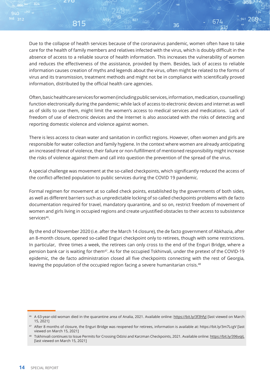Due to the collapse of health services because of the coronavirus pandemic, women often have to take care for the health of family members and relatives infected with the virus, which is doubly difficult in the absence of access to a reliable source of health information. This increases the vulnerability of women and reduces the effectiveness of the assistance, provided by them. Besides, lack of access to reliable information causes creation of myths and legends about the virus, often might be related to the forms of virus and its transmission, treatment methods and might not be in compliance with scientifically proved information, distributed by the official health care agencies.

827

815

941 2694

674

36

Often, basic healthcare services for women (including public services, information, medication, counselling) function electronically during the pandemic; while lack of access to electronic devices and internet as well as of skills to use them, might limit the women's access to medical services and medications. Lack of freedom of use of electronic devices and the Internet is also associated with the risks of detecting and reporting domestic violence and violence against women.

There is less access to clean water and sanitation in conflict regions. However, often women and girls are responsible for water collection and family hygiene. In the context where women are already anticipating an increased threat of violence, their failure or non-fulfillment of mentioned responsibility might increase the risks of violence against them and call into question the prevention of the spread of the virus.

A special challenge was movement at the so-called checkpoints, which significantly reduced the access of the conflict-affected population to public services during the COVID 19 pandemic.

Formal regimen for movement at so called check points, established by the governments of both sides, as well as different barriers such as unpredictable locking of so called checkpoints problems with de facto documentation required for travel, mandatory quarantine, and so on, restrict freedom of movement of women and girls living in occupied regions and create unjustified obstacles to their access to subsistence services<sup>46</sup>.

By the end of November 2020 (i.e. after the March 14 closure), the de facto government of Abkhazia, after an 8-month closure, opened so-called Enguri checkpoint only to retirees, though with some restrictions. In particular, three times a week, the retirees can only cross to the end of the Enguri Bridge, where a pension bank car is waiting for them<sup>47</sup>. As for the occupied Tskhinvali, under the pretext of the COVID-19 epidemic, the de facto administration closed all five checkpoints connecting with the rest of Georgia, leaving the population of the occupied region facing a severe humanitarian crisis.<sup>48</sup>

<sup>46</sup> A 63-year-old woman died in the quarantine area of Analia, 2021. Available online: https://bit.ly/3f3hfyJ [last viewed on March 15, 2021]

<sup>47</sup> After 8 months of closure, the Enguri Bridge was reopened for retirees, information is available at: https://bit.ly/3m7LcgV [last viewed on March 15, 2021]

Tskhinvali continues to Issue Permits for Crossing Odzisi and Karzman Checkpoints, 2021. Available online: https://bit.ly/396vqiL [last viewed on March 15, 2021]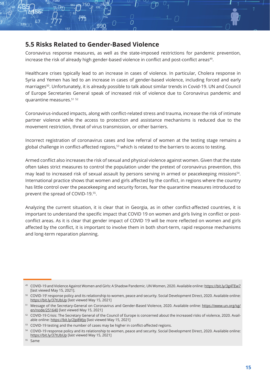### **5.5 Risks Related to Gender-Based Violence**

Coronavirus response measures, as well as the state-imposed restrictions for pandemic prevention, increase the risk of already high gender-based violence in conflict and post-conflict areas<sup>49</sup>.

O

Healthcare crises typically lead to an increase in cases of violence. In particular, Cholera response in Syria and Yemen has led to an increase in cases of gender-based violence, including forced and early marriages<sup>50</sup>. Unfortunately, it is already possible to talk about similar trends in Covid-19. UN and Council of Europe Secretaries General speak of increased risk of violence due to Coronavirus pandemic and quarantine measures.51 <sup>52</sup>

Coronavirus-induced impacts, along with conflict-related stress and trauma, increase the risk of intimate partner violence while the access to protection and assistance mechanisms is reduced due to the movement restriction, threat of virus transmission, or other barriers.

Incorrect registration of coronavirus cases and low referral of women at the testing stage remains a global challenge in conflict-affected regions,<sup>53</sup> which is related to the barriers to access to testing.

Armed conflict also increases the risk of sexual and physical violence against women. Given that the state often takes strict measures to control the population under the pretext of coronavirus prevention, this may lead to increased risk of sexual assault by persons serving in armed or peacekeeping missions<sup>54</sup>. International practice shows that women and girls affected by the conflict, in regions where the country has little control over the peacekeeping and security forces, fear the quarantine measures introduced to prevent the spread of COVID-19.<sup>55</sup>.

Analyzing the current situation, it is clear that in Georgia, as in other conflict-affected countries, it is important to understand the specific impact that COVID 19 on women and girls living in conflict or postconflict areas. As it is clear that gender impact of COVID 19 will be more reflected on women and girls affected by the conflict, it is important to involve them in both short-term, rapid response mechanisms and long-term reparation planning.

- <sup>53</sup> COVID-19 testing and the number of cases may be higher in conflict-affected regions.
- <sup>54</sup> COVID-19 response policy and its relationship to women, peace and security. Social Development Direct, 2020. Available online: https://bit.ly/37tUbUp [last viewed May 15, 2021]

<sup>49</sup> COVID-19 and Violence Against Women and Girls: A Shadow Pandemic. UN Women, 2020. Available online: https://bit.ly/3g4TEw7 [last viewed May 15, 2021].

<sup>&</sup>lt;sup>50</sup> COVID-19' response policy and its relationship to women, peace and security. Social Development Direct, 2020. Available online: https://bit.ly/37tUbUp [last viewed May 15, 2021]

<sup>51</sup> Message of the Secretary-General on Coronavirus and Gender-Based Violence, 2020. Available online: https://www.un.org/sg/ en/node/251640 [last viewed May 15, 2021]

<sup>52</sup> COVID-19 Crisis: The Secretary General of the Council of Europe is concerned about the increased risks of violence, 2020. Available online: https://bit.ly/2Jp8Wjq [last viewed May 15, 2021]

<sup>55</sup> Same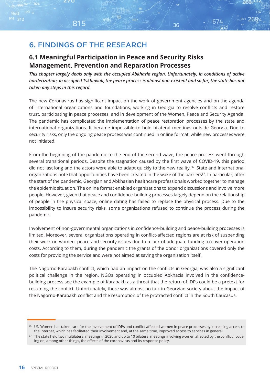## 6. FINDINGS OF THE RESEARCH

815

### **6.1 Meaningful Participation in Peace and Security Risks Management, Prevention and Reparation Processes**

*This chapter largely deals only with the occupied Abkhazia region. Unfortunately, in conditions of active borderization, in occupied Tskhinvali, the peace process is almost non-existent and so far, the state has not taken any steps in this regard.*

941 2694

674

36

The new Coronavirus has significant impact on the work of government agencies and on the agenda of international organizations and foundations, working in Georgia to resolve conflicts and restore trust, participating in peace processes, and in development of the Women, Peace and Security Agenda. The pandemic has complicated the implementation of peace restoration processes by the state and international organizations. It became impossible to hold bilateral meetings outside Georgia. Due to security risks, only the ongoing peace process was continued in online format, while new processes were not initiated.

From the beginning of the pandemic to the end of the second wave, the peace process went through several transitional periods. Despite the stagnation caused by the first wave of COVID-19, this period did not last long and the actors were able to adapt quickly to the new reality.<sup>56</sup> State and international organizations note that opportunities have been created in the wake of the barriers<sup>57</sup>. In particular, after the start of the pandemic, Georgian and Abkhazian healthcare professionals worked together to manage the epidemic situation. The online format enabled organizations to expand discussions and involve more people. However, given that peace and confidence-building processes largely depend on the relationship of people in the physical space, online dating has failed to replace the physical process. Due to the impossibility to insure security risks, some organizations refused to continue the process during the pandemic.

Involvement of non-governmental organizations in confidence-building and peace-building processes is limited. Moreover, several organizations operating in conflict-affected regions are at risk of suspending their work on women, peace and security issues due to a lack of adequate funding to cover operation costs. According to them, during the pandemic the grants of the donor organizations covered only the costs for providing the service and were not aimed at saving the organization itself.

The Nagorno-Karabakh conflict, which had an impact on the conflicts in Georgia, was also a significant political challenge in the region. NGOs operating in occupied Abkhazia involved in the confidencebuilding process see the example of Karabakh as a threat that the return of IDPs could be a pretext for resuming the conflict. Unfortunately, there was almost no talk in Georgian society about the impact of the Nagorno-Karabakh conflict and the resumption of the protracted conflict in the South Caucasus.

UN Women has taken care for the involvement of IDPs and conflict-affected women in peace processes by increasing access to the Internet, which has facilitated their involvement and, at the same time, improved access to services in general.

<sup>&</sup>lt;sup>57</sup> The state held two multilateral meetings in 2020 and up to 10 bilateral meetings involving women affected by the conflict, focusing on, among other things, the effects of the coronavirus and its response policy.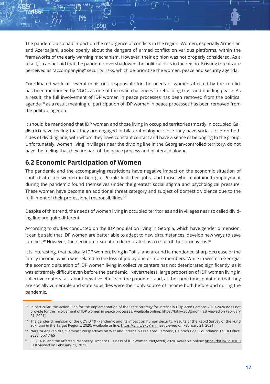The pandemic also had impact on the resurgence of conflicts in the region. Women, especially Armenian and Azerbaijani, spoke openly about the dangers of armed conflict on various platforms, within the frameworks of the early warning mechanism. However, their opinion was not properly considered. As a result, it can be said that the pandemic overshadowed the political risks in the region. Existing threats are perceived as "accompanying" security risks, which de-prioritize the women, peace and security agenda.

O

Coordinated work of several ministries responsible for the needs of women affected by the conflict has been mentioned by NGOs as one of the main challenges in rebuilding trust and building peace. As a result, the full involvement of IDP women in peace processes has been removed from the political agenda,<sup>58</sup> as a result meaningful participation of IDP women in peace processes has been removed from the political agenda.

It should be mentioned that IDP women and those living in occupied territories (mostly in occupied Gali district) have feeling that they are engaged in bilateral dialogue, since they have social circle on both sides of dividing line, with whom they have constant contact and have a sense of belonging to the group. Unfortunately, women living in villages near the dividing line in the Georgian-controlled territory, do not have the feeling that they are part of the peace process and bilateral dialogue.

## **6.2 Economic Participation of Women**

The pandemic and the accompanying restrictions have negative impact on the economic situation of conflict affected women in Georgia. People lost their jobs, and those who maintained employment during the pandemic found themselves under the greatest social stigma and psychological pressure. These women have become an additional threat category and subject of domestic violence due to the fulfillment of their professional responsibilities.<sup>59</sup>

Despite of this trend, the needs of women living in occupied territories and in villages near so called dividing line are quite different.

According to studies conducted on the IDP population living in Georgia, which have gender dimension, it can be said that IDP women are better able to adapt to new circumstances, develop new ways to save families.<sup>60</sup> However, their economic situation deteriorated as a result of the coronavirus.<sup>61</sup>

It is interesting, that basically IDP women, living in Tbilisi and around it, mentioned sharp decrease of the family income, which was related to the loss of job by one or more members. While in western Georgia, the economic situation of IDP women living in collective centers has not deteriorated significantly, as it was extremely difficult even before the pandemic. Nevertheless, large proportion of IDP women living in collective centers talk about negative effects of the pandemic and, at the same time, point out that they are socially vulnerable and state subsidies were their only source of income both before and during the pandemic.

<sup>58</sup> In particular, the Action Plan for the Implementation of the State Strategy for Internally Displaced Persons 2019-2020 does not provide for the involvement of IDP women in peace processes. Available online: https://bit.ly/3bBgmdh [last viewed on February 21, 2021]

<sup>59</sup> The gender dimension of the COVID 19 -Pandemic and its impact on human security. Results of the Rapid Survey of the Fund Sukhumi in the Target Regions, 2020. Available online: https://bit.ly/3koYhTy [last viewed on February 21, 2021]

<sup>60</sup> Nargiza Arjevanidze, "Feminist Perspectives on War and Internally Displaced Persons", Heinrich Boell Foundation Tbilisi Office, 2020. pp.17-65

<sup>61</sup> COVID-19 and the Affected Raspberry Orchard Business of IDP Woman, Netgazeti, 2020. Available online: https://bit.ly/3dJsNGu [last viewed on February 21, 2021]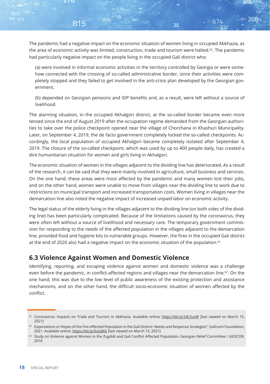815

The pandemic had a negative impact on the economic situation of women living in occupied Abkhazia, as the area of economic activity was limited, construction, trade and tourism were halted.<sup>62</sup>. The pandemic had particularly negative impact on the people living in the occupied Gali district who:

941 2694

674

36

(a) were involved in informal economic activities in the territory controlled by Georgia or were somehow connected with the crossing of so-called administrative border, since their activities were completely stopped and they failed to get involved in the anti-crisis plan developed by the Georgian government.

(b) depended on Georgian pensions and IDP benefits and, as a result, were left without a source of livelihood.

The alarming situation, in the occupied Akhalgori district, at the so-called border became even more tensed since the end of August 2019 after the occupation regime demanded from the Georgian authorities to take over the police checkpoint opened near the village of Chorchana in Khashuri Municipality. Later, on September 4, 2019, the de facto government completely locked the so-called checkpoints. Accordingly, the local population of occupied Akhalgori became completely isolated after September 4, 2019. The closure of the so-called checkpoint, which was used by up to 400 people daily, has created a dire humanitarian situation for women and girls living in Akhalgori.

The economic situation of women in the villages adjacent to the dividing line has deteriorated. As a result of the research, it can be said that they were mainly involved in agriculture, small business and services. On the one hand, these areas were most affected by the pandemic and many women lost their jobs, and on the other hand, women were unable to move from villages near the dividing line to work due to restrictions on municipal transport and increased transportation costs. Women living in villages near the demarcation line also noted the negative impact of increased unpaid labor on economic activity.

The legal status of the elderly living in the villages adjacent to the dividing line (on both sides of the dividing line) has been particularly complicated. Because of the limitations caused by the coronavirus, they were often left without a source of livelihood and necessary care. The temporary government commission for responding to the needs of the affected population in the villages adjacent to the demarcation line, provided food and hygiene kits to vulnerable groups. However, the fires in the occupied Gali district at the end of 2020 also had a negative impact on the economic situation of the population.<sup>63</sup>

## **6.3 Violence Against Women and Domestic Violence**

Identifying, reporting, and escaping violence against women and domestic violence was a challenge even before the pandemic, in conflict-affected regions and villages near the demarcation line.<sup>64</sup>. On the one hand, this was due to the low level of public awareness of the existing protection and assistance mechanisms, and on the other hand, the difficult socio-economic situation of women affected by the conflict.

<sup>62</sup> Coronavirus: Impacts on Trade and Tourism in Abkhazia. Available online: https://bit.ly/3dL5uvW [last viewed on March 15, 2021]

<sup>63</sup> Expectations or Hopes of the Fire-Affected Population in the Gali District: Needs and Response Strategies", Sukhumi Foundation, 2021. Available online: https://bit.ly/3cezJKG [last viewed on March 15, 2021]

<sup>&</sup>lt;sup>64</sup> Study on Violence against Women in the Zugdidi and Gali Conflict Affected Population, Georgian Relief Committee / GEOCOR, 2018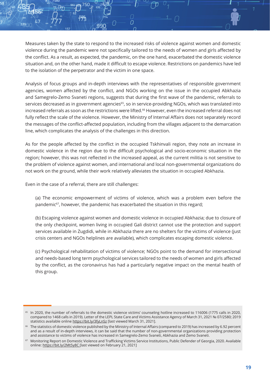Measures taken by the state to respond to the increased risks of violence against women and domestic violence during the pandemic were not specifically tailored to the needs of women and girls affected by the conflict. As a result, as expected, the pandemic, on the one hand, exacerbated the domestic violence situation and, on the other hand, made it difficult to escape violence. Restrictions on pandemics have led to the isolation of the perpetrator and the victim in one space.

 $\cap$ 

Analysis of focus groups and in-depth interviews with the representatives of responsible government agencies, women affected by the conflict, and NGOs working on the issue in the occupied Abkhazia and Samegrelo-Zemo Svaneti regions, suggests that during the first wave of the pandemic, referrals to services decreased as in government agencies<sup>65</sup>, so in service-providing NGOs, which was translated into increased referrals as soon as the restrictions were lifted.<sup>66</sup> However, even the increased referral does not fully reflect the scale of the violence. However, the Ministry of Internal Affairs does not separately record the messages of the conflict-affected population, including from the villages adjacent to the demarcation line, which complicates the analysis of the challenges in this direction.

As for the people affected by the conflict in the occupied Tskhinvali region, they note an increase in domestic violence in the region due to the difficult psychological and socio-economic situation in the region; however, this was not reflected in the increased appeal, as the current militia is not sensitive to the problem of violence against women, and international and local non-governmental organizations do not work on the ground, while their work relatively alleviates the situation in occupied Abkhazia.

Even in the case of a referral, there are still challenges:

(a) The economic empowerment of victims of violence, which was a problem even before the pandemic<sup>67</sup>, however, the pandemic has exacerbated the situation in this regard;

(b) Escaping violence against women and domestic violence in occupied Abkhazia; due to closure of the only checkpoint, women living in occupied Gali district cannot use the protection and support services available in Zugdidi, while in Abkhazia there are no shelters for the victims of violence (just crisis centers and NGOs helplines are available), which complicates escaping domestic violence.

(c) Psychological rehabilitation of victims of violence; NGOs point to the demand for intersectional and needs-based long term psychological services tailored to the needs of women and girls affected by the conflict, as the coronavirus has had a particularly negative impact on the mental health of this group.

<sup>&</sup>lt;sup>65</sup> In 2020, the number of referrals to the domestic violence victims' counseling hotline increased to 116006 (1775 calls in 2020, compared to 1468 calls in 2019). Letter of the LEPL State Care and Victims Assistance Agency of March 31, 2021 № 07/2580; 2019 statistics available online https://bit.ly/3fyLnSz [last viewed March 31, 2021].

<sup>66</sup> The statistics of domestic violence published by the Ministry of Internal Affairs (compared to 2019) has increased by 6.92 percent and as a result of in-depth interviews, it can be said that the number of non-governmental organizations providing protection and assistance to victims of violence has increased in Samegrelo-Zemo Svaneti, Abkhazia and Zemo Svaneti.

<sup>67</sup> Monitoring Report on Domestic Violence and Trafficking Victims Service Institutions, Public Defender of Georgia, 2020. Available online: https://bit.ly/2Mt5y8C [last viewed on February 21, 2021]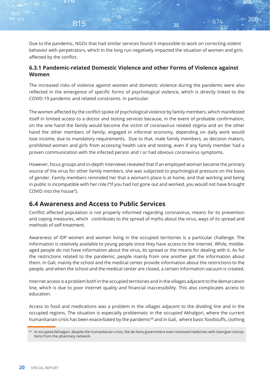Due to the pandemic, NGOs that had similar services found it impossible to work on correcting violent behavior with perpetrators, which in the long run negatively impacted the situation of women and girls affected by the conflict.

941 2694

674

36

#### **6.3.1 Pandemic-related Domestic Violence and other Forms of Violence against Women**

The increased risks of violence against women and domestic violence during the pandemic were also reflected in the emergence of specific forms of psychological violence, which is directly linked to the COVID-19 pandemic and related constraints. In particular:

The women affected by the conflict spoke of psychological violence by family members, which manifested itself in limited access to a doctor and testing services because, in the event of probable confirmation, on the one hand the family would become the victim of coronavirus related stigma and on the other hand the other members of family, engaged in informal economy, depending on daily work would lose income, due to mandatory requirements. Due to that, male family members, as decision makers, prohibited women and girls from accessing health care and testing, even if any family member had a proven communication with the infected person and / or had obvious coronavirus symptoms.

However, focus groups and in-depth interviews revealed that if an employed woman became the primary source of the virus for other family members, she was subjected to psychological pressure on the basis of gender. Family members reminded her that a woman's place is at home, and that working and being in public is incompatible with her role ("If you had not gone out and worked, you would not have brought COVID into the house").

## **6.4 Awareness and Access to Public Services**

815

Conflict affected population is not properly informed regarding coronavirus, means for its prevention and coping measures, which contributes to the spread of myths about the virus, ways of its spread and methods of self-treatment.

Awareness of IDP women and women living in the occupied territories is a particular challenge. The information is relatively available to young people since they have access to the internet. While, middleaged people do not have information about the virus, its spread or the means for dealing with it. As for the restrictions related to the pandemic, people mainly from one another get the information about them. In Gali, mainly the school and the medical center provide information about the restrictions to the people, and when the school and the medical center are closed, a certain information vacuum is created.

Internet access is a problem both in the occupied territories and in the villages adjacent to the demarcation line, which is due to poor internet quality and financial inaccessibility. This also complicates access to education.

Access to food and medications was a problem in the villages adjacent to the dividing line and in the occupied regions. The situation is especially problematic in the occupied Akhalgori, where the current humanitarian crisis has been exacerbated by the pandemic<sup>68</sup> and in Gali, where basic foodstuffs, clothing

In occupied Akhalgori, despite the humanitarian crisis, the de facto government even removed medicines with Georgian inscriptions from the pharmacy network.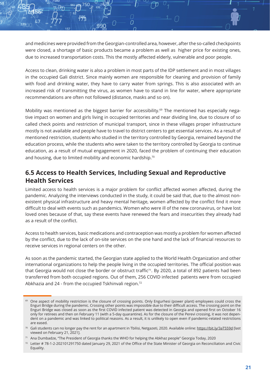and medicines were provided from the Georgian-controlled area, however, after the so-called checkpoints were closed, a shortage of basic products became a problem as well as higher price for existing ones, due to increased transportation costs. This the mostly affected elderly, vulnerable and poor people.

 $\overline{C}$ 

Access to clean, drinking water is also a problem in most parts of the IDP settlement and in most villages in the occupied Gali district. Since mainly women are responsible for cleaning and provision of family with food and drinking water, they have to carry water from springs. This is also associated with an increased risk of transmitting the virus, as women have to stand in line for water, where appropriate recommendations are often not followed (distance, masks and so on).

Mobility was mentioned as the biggest barrier for accessibility.<sup>69</sup> The mentioned has especially negative impact on women and girls living in occupied territories and near dividing line, due to closure of so called check points and restriction of municipal transport, since in these villages proper infrastructure mostly is not available and people have to travel to district centers to get essential services. As a result of mentioned restriction, students who studied in the territory controlled by Georgia, remained beyond the education process, while the students who were taken to the territory controlled by Georgia to continue education, as a result of mutual engagement in 2020, faced the problem of continuing their education and housing, due to limited mobility and economic hardship.<sup>70</sup>

## **6.5 Access to Health Services, Including Sexual and Reproductive Health Services**

Limited access to health services is a major problem for conflict affected women affected, during the pandemic. Analyzing the interviews conducted in the study, it could be said that, due to the almost nonexistent physical infrastructure and heavy mental heritage, women affected by the conflict find it more difficult to deal with events such as pandemics. Women who were ill of the new coronavirus, or have lost loved ones because of that, say these events have renewed the fears and insecurities they already had as a result of the conflict.

Access to health services, basic medications and contraception was mostly a problem for women affected by the conflict, due to the lack of on-site services on the one hand and the lack of financial resources to receive services in regional centers on the other.

As soon as the pandemic started, the Georgian state applied to the World Health Organization and other international organizations to help the people living in the occupied territories. The official position was that Georgia would not close the border or obstruct traffic<sup>71</sup>. By 2020, a total of 892 patients had been transferred from both occupied regions. Out of them, 256 COVID infected patients were from occupied Abkhazia and 24 - from the occupied Tskhinvali region.<sup>72</sup>

<sup>&</sup>lt;sup>69</sup> One aspect of mobility restriction is the closure of crossing points. Only Engurhesi (power plant) employees could cross the Enguri Bridge during the pandemic. Crossing other points was impossible due to their difficult access. The crossing point on the Enguri Bridge was closed as soon as the first COVID infected patient was detected in Georgia and opened first on October 16 only for retirees and then on February 11 (with a 5-day quarantine). As for the closure of the Perevi crossing, it was not dependent on a pandemic and was linked to political reasons. As a result, it is unlikely to open even if pandemic-related restrictions are eased.

<sup>&</sup>lt;sup>70</sup> Gali students can no longer pay the rent for an apartment in Tbilisi, Netgazeti, 2020. Available online: https://bit.ly/3aT559d [last viewed on February 21, 2021].

<sup>&</sup>lt;sup>71</sup> Ana Dumbadze, "The President of Georgia thanks the WHO for helping the Abkhaz people" Georgia Today, 2020

<sup>72</sup> Letter # 78-1-2-202101291750 dated January 29, 2021 of the Office of the State Minister of Georgia on Reconciliation and Civic Equality.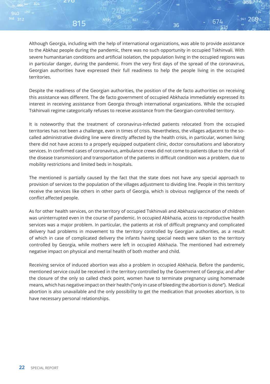815

Although Georgia, including with the help of international organizations, was able to provide assistance to the Abkhaz people during the pandemic, there was no such opportunity in occupied Tskhinvali. With severe humanitarian conditions and artificial isolation, the population living in the occupied regions was in particular danger, during the pandemic. From the very first days of the spread of the coronavirus, Georgian authorities have expressed their full readiness to help the people living in the occupied territories.

941 2694

674

36

Despite the readiness of the Georgian authorities, the position of the de facto authorities on receiving this assistance was different. The de facto government of occupied Abkhazia immediately expressed its interest in receiving assistance from Georgia through international organizations. While the occupied Tskhinvali regime categorically refuses to receive assistance from the Georgian-controlled territory.

It is noteworthy that the treatment of coronavirus-infected patients relocated from the occupied territories has not been a challenge, even in times of crisis. Nevertheless, the villages adjacent to the socalled administrative dividing line were directly affected by the health crisis, in particular, women living there did not have access to a properly equipped outpatient clinic, doctor consultations and laboratory services. In confirmed cases of coronavirus, ambulance crews did not come to patients (due to the risk of the disease transmission) and transportation of the patients in difficult condition was a problem, due to mobility restrictions and limited beds in hospitals.

The mentioned is partially caused by the fact that the state does not have any special approach to provision of services to the population of the villages adjustment to dividing line. People in this territory receive the services like others in other parts of Georgia, which is obvious negligence of the needs of conflict affected people.

As for other health services, on the territory of occupied Tskhinvali and Abkhazia vaccination of children was uninterrupted even in the course of pandemic. In occupied Abkhazia, access to reproductive health services was a major problem. In particular, the patients at risk of difficult pregnancy and complicated delivery had problems in movement to the territory controlled by Georgian authorities, as a result of which in case of complicated delivery the infants having special needs were taken to the territory controlled by Georgia, while mothers were left in occupied Abkhazia. The mentioned had extremely negative impact on physical and mental health of both mother and child.

Receiving service of induced abortion was also a problem in occupied Abkhazia. Before the pandemic, mentioned service could be received in the territory controlled by the Government of Georgia; and after the closure of the only so called check point, women have to terminate pregnancy using homemade means, which has negative impact on their health ("only in case of bleeding the abortion is done"). Medical abortion is also unavailable and the only possibility to get the medication that provokes abortion, is to have necessary personal relationships.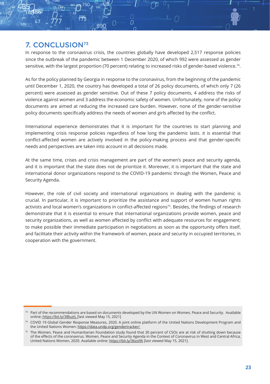## 7. CONCLUSION73

In response to the coronavirus crisis, the countries globally have developed 2,517 response policies since the outbreak of the pandemic between 1 December 2020, of which 992 were assessed as gender sensitive, with the largest proportion (70 percent) relating to increased risks of gender-based violence.74.

 $\Omega$ 

As for the policy planned by Georgia in response to the coronavirus, from the beginning of the pandemic until December 1, 2020, the country has developed a total of 26 policy documents, of which only 7 (26 percent) were assessed as gender sensitive. Out of these 7 policy documents, 4 address the risks of violence against women and 3 address the economic safety of women. Unfortunately, none of the policy documents are aimed at reducing the increased care burden. However, none of the gender-sensitive policy documents specifically address the needs of women and girls affected by the conflict.

International experience demonstrates that it is important for the countries to start planning and implementing crisis response policies regardless of how long the pandemic lasts. it is essential that conflict-affected women are actively involved in the policy-making process and that gender-specific needs and perspectives are taken into account in all decisions made.

At the same time, crises and crisis management are part of the women's peace and security agenda, and it is important that the state does not de prioritize it. Moreover, it is important that the state and international donor organizations respond to the COVID-19 pandemic through the Women, Peace and Security Agenda.

However, the role of civil society and international organizations in dealing with the pandemic is crucial. In particular, it is important to prioritize the assistance and support of women human rights activists and local women's organizations in conflict-affected regions<sup>75</sup>. Besides, the findings of research demonstrate that it is essential to ensure that international organizations provide women, peace and security organizations, as well as women affected by conflict with adequate resources for engagement; to make possible their immediate participation in negotiations as soon as the opportunity offers itself, and facilitate their activity within the framework of women, peace and security in occupied territories, in cooperation with the government.

 $73$  Part of the recommendations are based on documents developed by the UN Women on Women, Peace and Security. Available online: https://bit.ly/3lBuztL [last viewed May 15, 2021]

<sup>74</sup> COVID 19 Global Gender Response Measures, 2020. A joint online platform of the United Nations Development Program and the United Nations Women: https://data.undp.org/gendertracker/

<sup>75</sup> The Women, Peace and Humanitarian Foundation study found that 30 percent of CSOs are at risk of shutting down because of the effects of the coronavirus. Women, Peace and Security Agenda in the Context of Coronavirus in West and Central Africa, United Nations Women, 2020. Available online: https://bit.ly/36zol9t [last viewed May 15, 2021].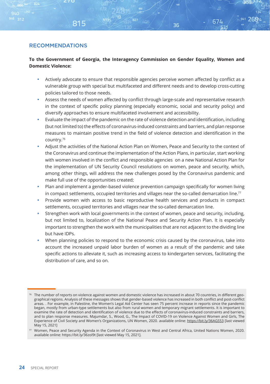815

#### **To the Government of Georgia, the Interagency Commission on Gender Equality, Women and Domestic Violence:**

827

941 2694

674

36

- Actively advocate to ensure that responsible agencies perceive women affected by conflict as a vulnerable group with special but multifaceted and different needs and to develop cross-cutting policies tailored to those needs.
- Assess the needs of women affected by conflict through large-scale and representative research in the context of specific policy planning (especially economic, social and security policy) and diversify approaches to ensure multifaceted involvement and accessibility.
- Evaluate the impact of the pandemic on the rate of violence detection and identification, including (but not limited to) the effects of coronavirus-induced constraints and barriers, and plan response measures to maintain positive trend in the field of violence detection and identification in the country.76
- Adjust the activities of the National Action Plan on Women, Peace and Security to the context of the Coronavirus and continue the implementation of the Action Plans, in particular, start working with women involved in the conflict and responsible agencies on a new National Action Plan for the implementation of UN Security Council resolutions on women, peace and security, which, among other things, will address the new challenges posed by the Coronavirus pandemic and make full use of the opportunities created;
- Plan and implement a gender-based violence prevention campaign specifically for women living in compact settlements, occupied territories and villages near the so-called demarcation line.<sup>77</sup>
- Provide women with access to basic reproductive health services and products in compact settlements, occupied territories and villages near the so-called demarcation line.
- Strengthen work with local governments in the context of women, peace and security, including, but not limited to, localization of the National Peace and Security Action Plan. It is especially important to strengthen the work with the municipalities that are not adjacent to the dividing line but have IDPs.
- When planning policies to respond to the economic crisis caused by the coronavirus, take into account the increased unpaid labor burden of women as a result of the pandemic and take specific actions to alleviate it, such as increasing access to kindergarten services, facilitating the distribution of care, and so on.

<sup>76</sup> The number of reports on violence against women and domestic violence has increased in about 70 countries, in different geographical regions. Analysis of these messages shows that gender-based violence has increased in both conflict and post-conflict areas. . For example, in Palestine, the Women's Legal Aid Center has seen 75 percent increase in reports since the pandemic began, mostly from urban-type settlements but also from rural women and temporary migrant settlements. It is important to examine the rate of detection and identification of violence due to the effects of coronavirus-induced constraints and barriers, and to plan response measures. Majumdar, S., Wood, G., The Impact of COVID-19 on Violence Against Women and Girls, The Experience of Civil Society and Women's Organizations, UN Women, 2020. available online: https://bit.ly/36AGS53 [last viewed May 15, 2021]

<sup>77</sup> Women, Peace and Security Agenda in the Context of Coronavirus in West and Central Africa, United Nations Women, 2020. available online: https://bit.ly/36zol9t [last viewed May 15, 2021].